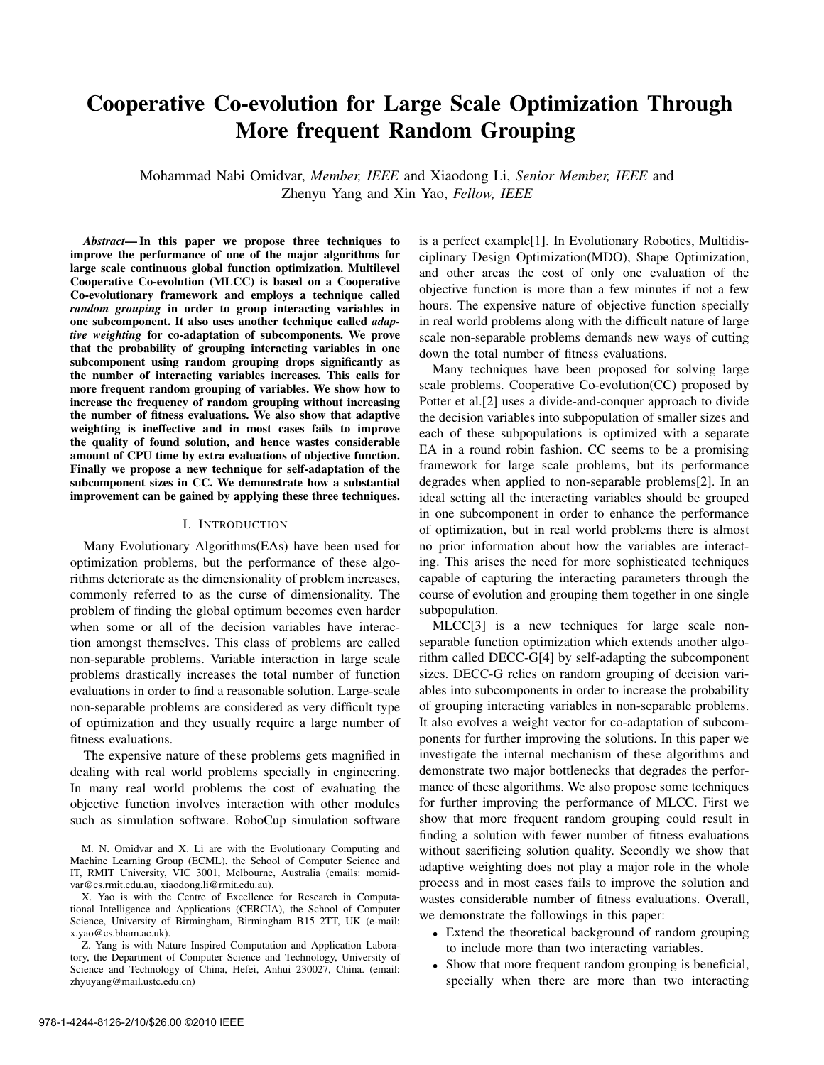# **Cooperative Co-evolution for Large Scale Optimization Through More frequent Random Grouping**

Mohammad Nabi Omidvar, *Member, IEEE* and Xiaodong Li, *Senior Member, IEEE* and Zhenyu Yang and Xin Yao, *Fellow, IEEE*

*Abstract***— In this paper we propose three techniques to improve the performance of one of the major algorithms for large scale continuous global function optimization. Multilevel Cooperative Co-evolution (MLCC) is based on a Cooperative Co-evolutionary framework and employs a technique called** *random grouping* **in order to group interacting variables in one subcomponent. It also uses another technique called** *adaptive weighting* **for co-adaptation of subcomponents. We prove that the probability of grouping interacting variables in one subcomponent using random grouping drops significantly as the number of interacting variables increases. This calls for more frequent random grouping of variables. We show how to increase the frequency of random grouping without increasing the number of fitness evaluations. We also show that adaptive weighting is ineffective and in most cases fails to improve the quality of found solution, and hence wastes considerable amount of CPU time by extra evaluations of objective function. Finally we propose a new technique for self-adaptation of the subcomponent sizes in CC. We demonstrate how a substantial improvement can be gained by applying these three techniques.**

## I. INTRODUCTION

Many Evolutionary Algorithms(EAs) have been used for optimization problems, but the performance of these algorithms deteriorate as the dimensionality of problem increases, commonly referred to as the curse of dimensionality. The problem of finding the global optimum becomes even harder when some or all of the decision variables have interaction amongst themselves. This class of problems are called non-separable problems. Variable interaction in large scale problems drastically increases the total number of function evaluations in order to find a reasonable solution. Large-scale non-separable problems are considered as very difficult type of optimization and they usually require a large number of fitness evaluations.

The expensive nature of these problems gets magnified in dealing with real world problems specially in engineering. In many real world problems the cost of evaluating the objective function involves interaction with other modules such as simulation software. RoboCup simulation software is a perfect example[1]. In Evolutionary Robotics, Multidisciplinary Design Optimization(MDO), Shape Optimization, and other areas the cost of only one evaluation of the objective function is more than a few minutes if not a few hours. The expensive nature of objective function specially in real world problems along with the difficult nature of large scale non-separable problems demands new ways of cutting down the total number of fitness evaluations.

Many techniques have been proposed for solving large scale problems. Cooperative Co-evolution(CC) proposed by Potter et al.[2] uses a divide-and-conquer approach to divide the decision variables into subpopulation of smaller sizes and each of these subpopulations is optimized with a separate EA in a round robin fashion. CC seems to be a promising framework for large scale problems, but its performance degrades when applied to non-separable problems[2]. In an ideal setting all the interacting variables should be grouped in one subcomponent in order to enhance the performance of optimization, but in real world problems there is almost no prior information about how the variables are interacting. This arises the need for more sophisticated techniques capable of capturing the interacting parameters through the course of evolution and grouping them together in one single subpopulation.

MLCC[3] is a new techniques for large scale nonseparable function optimization which extends another algorithm called DECC-G[4] by self-adapting the subcomponent sizes. DECC-G relies on random grouping of decision variables into subcomponents in order to increase the probability of grouping interacting variables in non-separable problems. It also evolves a weight vector for co-adaptation of subcomponents for further improving the solutions. In this paper we investigate the internal mechanism of these algorithms and demonstrate two major bottlenecks that degrades the performance of these algorithms. We also propose some techniques for further improving the performance of MLCC. First we show that more frequent random grouping could result in finding a solution with fewer number of fitness evaluations without sacrificing solution quality. Secondly we show that adaptive weighting does not play a major role in the whole process and in most cases fails to improve the solution and wastes considerable number of fitness evaluations. Overall, we demonstrate the followings in this paper:

- Extend the theoretical background of random grouping to include more than two interacting variables.
- Show that more frequent random grouping is beneficial, specially when there are more than two interacting

M. N. Omidvar and X. Li are with the Evolutionary Computing and Machine Learning Group (ECML), the School of Computer Science and IT, RMIT University, VIC 3001, Melbourne, Australia (emails: momidvar@cs.rmit.edu.au, xiaodong.li@rmit.edu.au).

X. Yao is with the Centre of Excellence for Research in Computational Intelligence and Applications (CERCIA), the School of Computer Science, University of Birmingham, Birmingham B15 2TT, UK (e-mail: x.yao@cs.bham.ac.uk).

Z. Yang is with Nature Inspired Computation and Application Laboratory, the Department of Computer Science and Technology, University of Science and Technology of China, Hefei, Anhui 230027, China. (email: zhyuyang@mail.ustc.edu.cn)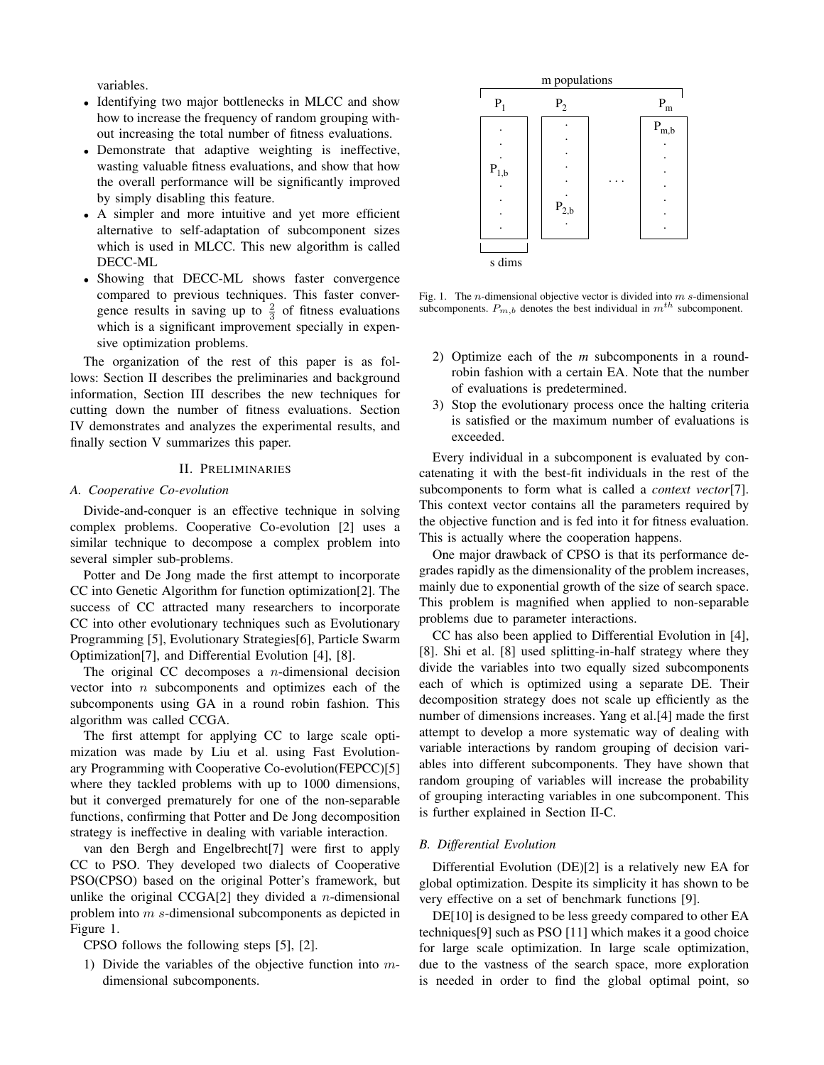variables.

- Identifying two major bottlenecks in MLCC and show how to increase the frequency of random grouping without increasing the total number of fitness evaluations.
- Demonstrate that adaptive weighting is ineffective, wasting valuable fitness evaluations, and show that how the overall performance will be significantly improved by simply disabling this feature.
- A simpler and more intuitive and yet more efficient alternative to self-adaptation of subcomponent sizes which is used in MLCC. This new algorithm is called DECC-ML
- Showing that DECC-ML shows faster convergence compared to previous techniques. This faster convergence results in saving up to  $\frac{2}{3}$  of fitness evaluations which is a significant improvement specially in expensive optimization problems.

The organization of the rest of this paper is as follows: Section II describes the preliminaries and background information, Section III describes the new techniques for cutting down the number of fitness evaluations. Section IV demonstrates and analyzes the experimental results, and finally section V summarizes this paper.

# II. PRELIMINARIES

## *A. Cooperative Co-evolution*

Divide-and-conquer is an effective technique in solving complex problems. Cooperative Co-evolution [2] uses a similar technique to decompose a complex problem into several simpler sub-problems.

Potter and De Jong made the first attempt to incorporate CC into Genetic Algorithm for function optimization[2]. The success of CC attracted many researchers to incorporate CC into other evolutionary techniques such as Evolutionary Programming [5], Evolutionary Strategies[6], Particle Swarm Optimization[7], and Differential Evolution [4], [8].

The original CC decomposes a  $n$ -dimensional decision vector into  $n$  subcomponents and optimizes each of the subcomponents using GA in a round robin fashion. This algorithm was called CCGA.

The first attempt for applying CC to large scale optimization was made by Liu et al. using Fast Evolutionary Programming with Cooperative Co-evolution(FEPCC)[5] where they tackled problems with up to 1000 dimensions, but it converged prematurely for one of the non-separable functions, confirming that Potter and De Jong decomposition strategy is ineffective in dealing with variable interaction.

van den Bergh and Engelbrecht[7] were first to apply CC to PSO. They developed two dialects of Cooperative PSO(CPSO) based on the original Potter's framework, but unlike the original CCGA[2] they divided a *n*-dimensional problem into m s-dimensional subcomponents as depicted in Figure 1.

CPSO follows the following steps [5], [2].

1) Divide the variables of the objective function into  $m$ dimensional subcomponents.



Fig. 1. The *n*-dimensional objective vector is divided into  $m$  s-dimensional subcomponents.  $P_{m,b}$  denotes the best individual in  $m^{th}$  subcomponent.

- 2) Optimize each of the *m* subcomponents in a roundrobin fashion with a certain EA. Note that the number of evaluations is predetermined.
- 3) Stop the evolutionary process once the halting criteria is satisfied or the maximum number of evaluations is exceeded.

Every individual in a subcomponent is evaluated by concatenating it with the best-fit individuals in the rest of the subcomponents to form what is called a *context vector*[7]. This context vector contains all the parameters required by the objective function and is fed into it for fitness evaluation. This is actually where the cooperation happens.

One major drawback of CPSO is that its performance degrades rapidly as the dimensionality of the problem increases, mainly due to exponential growth of the size of search space. This problem is magnified when applied to non-separable problems due to parameter interactions.

CC has also been applied to Differential Evolution in [4], [8]. Shi et al. [8] used splitting-in-half strategy where they divide the variables into two equally sized subcomponents each of which is optimized using a separate DE. Their decomposition strategy does not scale up efficiently as the number of dimensions increases. Yang et al.[4] made the first attempt to develop a more systematic way of dealing with variable interactions by random grouping of decision variables into different subcomponents. They have shown that random grouping of variables will increase the probability of grouping interacting variables in one subcomponent. This is further explained in Section II-C.

## *B. Differential Evolution*

Differential Evolution (DE)[2] is a relatively new EA for global optimization. Despite its simplicity it has shown to be very effective on a set of benchmark functions [9].

DE[10] is designed to be less greedy compared to other EA techniques[9] such as PSO [11] which makes it a good choice for large scale optimization. In large scale optimization, due to the vastness of the search space, more exploration is needed in order to find the global optimal point, so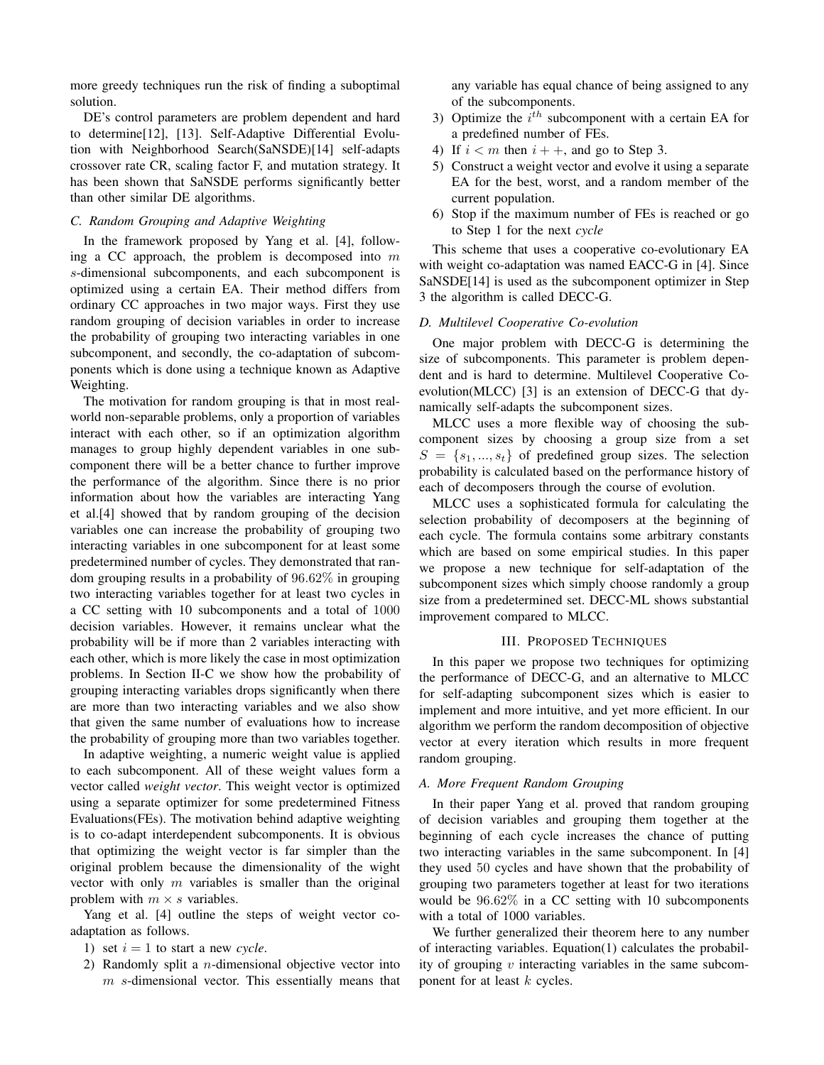more greedy techniques run the risk of finding a suboptimal solution.

DE's control parameters are problem dependent and hard to determine[12], [13]. Self-Adaptive Differential Evolution with Neighborhood Search(SaNSDE)[14] self-adapts crossover rate CR, scaling factor F, and mutation strategy. It has been shown that SaNSDE performs significantly better than other similar DE algorithms.

# *C. Random Grouping and Adaptive Weighting*

In the framework proposed by Yang et al. [4], following a CC approach, the problem is decomposed into  $m$ s-dimensional subcomponents, and each subcomponent is optimized using a certain EA. Their method differs from ordinary CC approaches in two major ways. First they use random grouping of decision variables in order to increase the probability of grouping two interacting variables in one subcomponent, and secondly, the co-adaptation of subcomponents which is done using a technique known as Adaptive Weighting.

The motivation for random grouping is that in most realworld non-separable problems, only a proportion of variables interact with each other, so if an optimization algorithm manages to group highly dependent variables in one subcomponent there will be a better chance to further improve the performance of the algorithm. Since there is no prior information about how the variables are interacting Yang et al.[4] showed that by random grouping of the decision variables one can increase the probability of grouping two interacting variables in one subcomponent for at least some predetermined number of cycles. They demonstrated that random grouping results in a probability of 96.62% in grouping two interacting variables together for at least two cycles in a CC setting with 10 subcomponents and a total of 1000 decision variables. However, it remains unclear what the probability will be if more than 2 variables interacting with each other, which is more likely the case in most optimization problems. In Section II-C we show how the probability of grouping interacting variables drops significantly when there are more than two interacting variables and we also show that given the same number of evaluations how to increase the probability of grouping more than two variables together.

In adaptive weighting, a numeric weight value is applied to each subcomponent. All of these weight values form a vector called *weight vector*. This weight vector is optimized using a separate optimizer for some predetermined Fitness Evaluations(FEs). The motivation behind adaptive weighting is to co-adapt interdependent subcomponents. It is obvious that optimizing the weight vector is far simpler than the original problem because the dimensionality of the wight vector with only  $m$  variables is smaller than the original problem with  $m \times s$  variables.

Yang et al. [4] outline the steps of weight vector coadaptation as follows.

- 1) set  $i = 1$  to start a new *cycle*.
- 2) Randomly split a *n*-dimensional objective vector into  $m$  s-dimensional vector. This essentially means that

any variable has equal chance of being assigned to any of the subcomponents.

- 3) Optimize the  $i^{th}$  subcomponent with a certain EA for a predefined number of FEs.
- 4) If  $i < m$  then  $i + +$ , and go to Step 3.
- 5) Construct a weight vector and evolve it using a separate EA for the best, worst, and a random member of the current population.
- 6) Stop if the maximum number of FEs is reached or go to Step 1 for the next *cycle*

This scheme that uses a cooperative co-evolutionary EA with weight co-adaptation was named EACC-G in [4]. Since SaNSDE[14] is used as the subcomponent optimizer in Step 3 the algorithm is called DECC-G.

## *D. Multilevel Cooperative Co-evolution*

One major problem with DECC-G is determining the size of subcomponents. This parameter is problem dependent and is hard to determine. Multilevel Cooperative Coevolution(MLCC) [3] is an extension of DECC-G that dynamically self-adapts the subcomponent sizes.

MLCC uses a more flexible way of choosing the subcomponent sizes by choosing a group size from a set  $S = \{s_1, ..., s_t\}$  of predefined group sizes. The selection probability is calculated based on the performance history of each of decomposers through the course of evolution.

MLCC uses a sophisticated formula for calculating the selection probability of decomposers at the beginning of each cycle. The formula contains some arbitrary constants which are based on some empirical studies. In this paper we propose a new technique for self-adaptation of the subcomponent sizes which simply choose randomly a group size from a predetermined set. DECC-ML shows substantial improvement compared to MLCC.

# III. PROPOSED TECHNIQUES

In this paper we propose two techniques for optimizing the performance of DECC-G, and an alternative to MLCC for self-adapting subcomponent sizes which is easier to implement and more intuitive, and yet more efficient. In our algorithm we perform the random decomposition of objective vector at every iteration which results in more frequent random grouping.

## *A. More Frequent Random Grouping*

In their paper Yang et al. proved that random grouping of decision variables and grouping them together at the beginning of each cycle increases the chance of putting two interacting variables in the same subcomponent. In [4] they used 50 cycles and have shown that the probability of grouping two parameters together at least for two iterations would be 96.62% in a CC setting with 10 subcomponents with a total of 1000 variables.

We further generalized their theorem here to any number of interacting variables. Equation(1) calculates the probability of grouping  $v$  interacting variables in the same subcomponent for at least  $k$  cycles.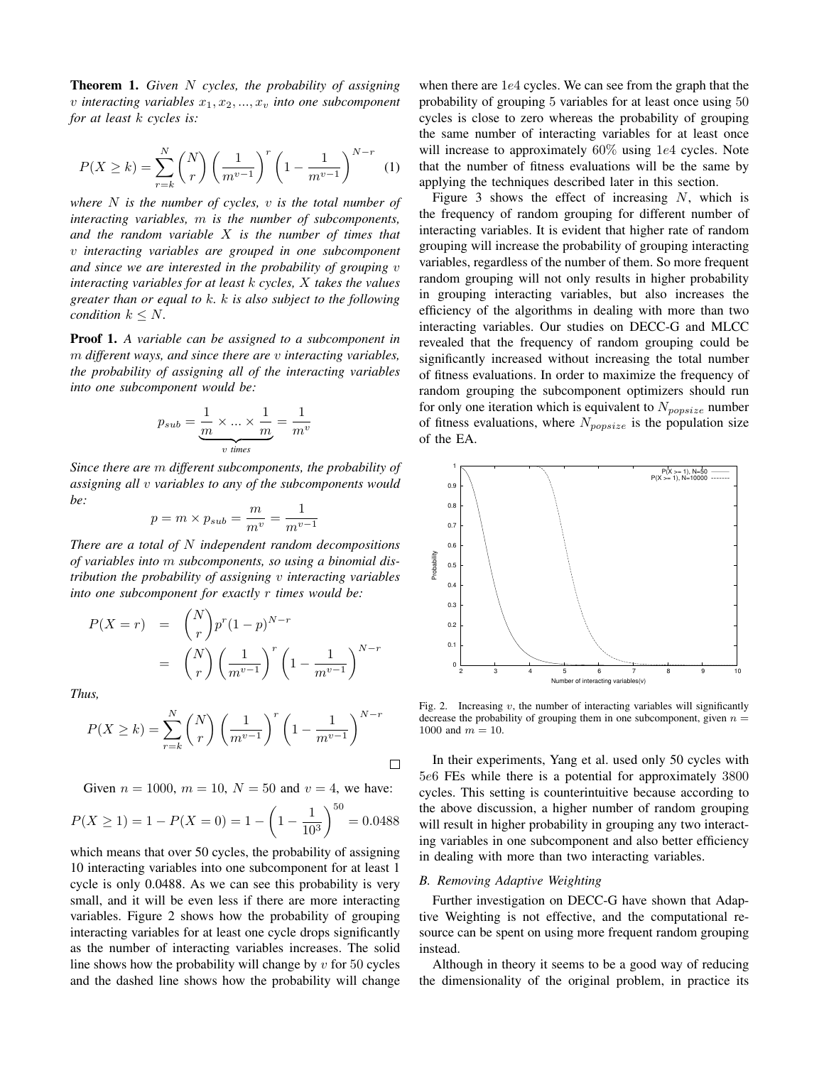**Theorem 1.** *Given* N *cycles, the probability of assigning*  $v$  *interacting variables*  $x_1, x_2, ..., x_v$  *into one subcomponent for at least* k *cycles is:*

$$
P(X \ge k) = \sum_{r=k}^{N} {N \choose r} \left(\frac{1}{m^{v-1}}\right)^r \left(1 - \frac{1}{m^{v-1}}\right)^{N-r}
$$
 (1)

*where* N *is the number of cycles,* v *is the total number of interacting variables,* m *is the number of subcomponents, and the random variable* X *is the number of times that* v *interacting variables are grouped in one subcomponent and since we are interested in the probability of grouping* v *interacting variables for at least* k *cycles,* X *takes the values greater than or equal to* k*.* k *is also subject to the following condition*  $k \leq N$ .

**Proof 1.** *A variable can be assigned to a subcomponent in* m *different ways, and since there are* v *interacting variables, the probability of assigning all of the interacting variables into one subcomponent would be:*

$$
p_{sub} = \underbrace{\frac{1}{m} \times \ldots \times \frac{1}{m}}_{v \text{ times}} = \frac{1}{m^v}
$$

*Since there are* m *different subcomponents, the probability of assigning all* v *variables to any of the subcomponents would be:*

$$
p = m \times p_{sub} = \frac{m}{m^v} = \frac{1}{m^{v-1}}
$$

*There are a total of* N *independent random decompositions of variables into* m *subcomponents, so using a binomial distribution the probability of assigning* v *interacting variables into one subcomponent for exactly* r *times would be:*

$$
P(X=r) = {N \choose r} p^r (1-p)^{N-r}
$$
  
= 
$$
{N \choose r} \left(\frac{1}{m^{v-1}}\right)^r \left(1 - \frac{1}{m^{v-1}}\right)^{N-r}
$$

*Thus,*

$$
P(X \ge k) = \sum_{r=k}^{N} {N \choose r} \left(\frac{1}{m^{v-1}}\right)^r \left(1 - \frac{1}{m^{v-1}}\right)^{N-r}
$$

Given  $n = 1000$ ,  $m = 10$ ,  $N = 50$  and  $v = 4$ , we have:

$$
P(X \ge 1) = 1 - P(X = 0) = 1 - \left(1 - \frac{1}{10^3}\right)^{50} = 0.0488
$$

which means that over 50 cycles, the probability of assigning 10 interacting variables into one subcomponent for at least 1 cycle is only 0.0488. As we can see this probability is very small, and it will be even less if there are more interacting variables. Figure 2 shows how the probability of grouping interacting variables for at least one cycle drops significantly as the number of interacting variables increases. The solid line shows how the probability will change by  $v$  for 50 cycles and the dashed line shows how the probability will change when there are 1e4 cycles. We can see from the graph that the probability of grouping 5 variables for at least once using 50 cycles is close to zero whereas the probability of grouping the same number of interacting variables for at least once will increase to approximately  $60\%$  using 1e4 cycles. Note that the number of fitness evaluations will be the same by applying the techniques described later in this section.

Figure 3 shows the effect of increasing  $N$ , which is the frequency of random grouping for different number of interacting variables. It is evident that higher rate of random grouping will increase the probability of grouping interacting variables, regardless of the number of them. So more frequent random grouping will not only results in higher probability in grouping interacting variables, but also increases the efficiency of the algorithms in dealing with more than two interacting variables. Our studies on DECC-G and MLCC revealed that the frequency of random grouping could be significantly increased without increasing the total number of fitness evaluations. In order to maximize the frequency of random grouping the subcomponent optimizers should run for only one iteration which is equivalent to  $N_{popsize}$  number of fitness evaluations, where  $N_{popsize}$  is the population size of the EA.



Fig. 2. Increasing  $v$ , the number of interacting variables will significantly decrease the probability of grouping them in one subcomponent, given  $n =$ 1000 and  $m = 10$ .

In their experiments, Yang et al. used only 50 cycles with 5e6 FEs while there is a potential for approximately 3800 cycles. This setting is counterintuitive because according to the above discussion, a higher number of random grouping will result in higher probability in grouping any two interacting variables in one subcomponent and also better efficiency in dealing with more than two interacting variables.

## *B. Removing Adaptive Weighting*

Further investigation on DECC-G have shown that Adaptive Weighting is not effective, and the computational resource can be spent on using more frequent random grouping instead.

Although in theory it seems to be a good way of reducing the dimensionality of the original problem, in practice its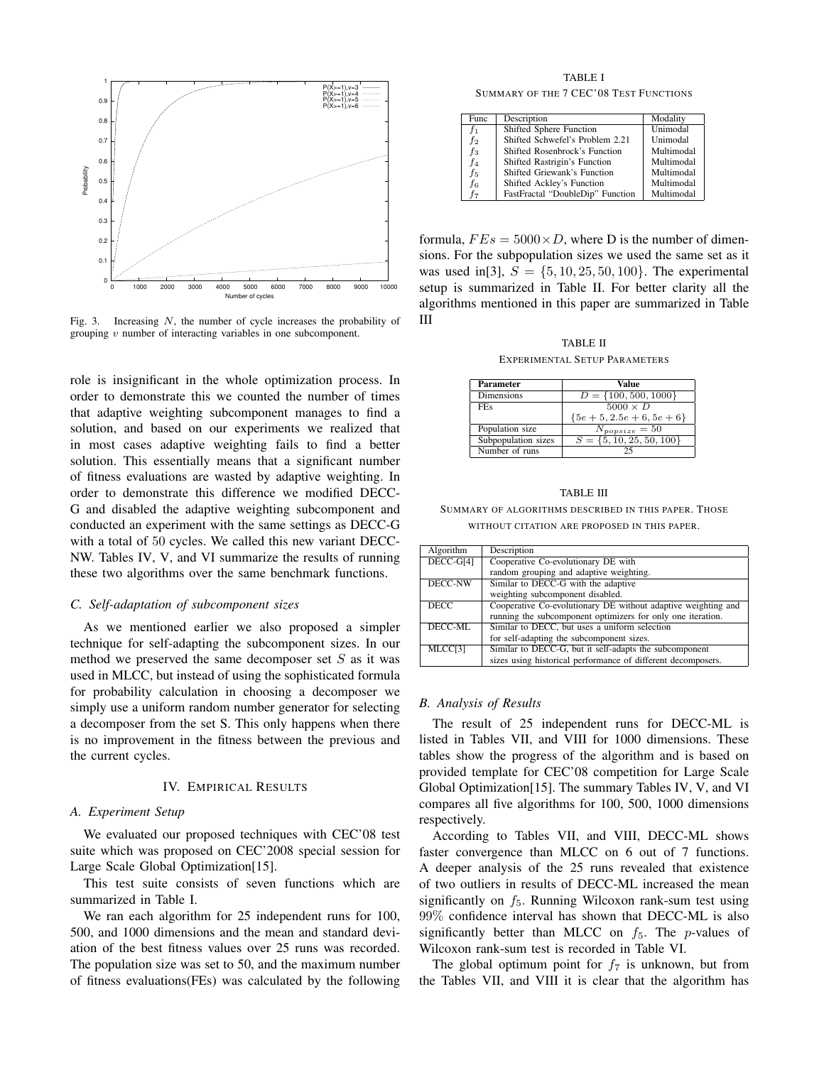

Fig. 3. Increasing N, the number of cycle increases the probability of grouping v number of interacting variables in one subcomponent.

role is insignificant in the whole optimization process. In order to demonstrate this we counted the number of times that adaptive weighting subcomponent manages to find a solution, and based on our experiments we realized that in most cases adaptive weighting fails to find a better solution. This essentially means that a significant number of fitness evaluations are wasted by adaptive weighting. In order to demonstrate this difference we modified DECC-G and disabled the adaptive weighting subcomponent and conducted an experiment with the same settings as DECC-G with a total of 50 cycles. We called this new variant DECC-NW. Tables IV, V, and VI summarize the results of running these two algorithms over the same benchmark functions.

## *C. Self-adaptation of subcomponent sizes*

As we mentioned earlier we also proposed a simpler technique for self-adapting the subcomponent sizes. In our method we preserved the same decomposer set  $S$  as it was used in MLCC, but instead of using the sophisticated formula for probability calculation in choosing a decomposer we simply use a uniform random number generator for selecting a decomposer from the set S. This only happens when there is no improvement in the fitness between the previous and the current cycles.

## IV. EMPIRICAL RESULTS

## *A. Experiment Setup*

We evaluated our proposed techniques with CEC'08 test suite which was proposed on CEC'2008 special session for Large Scale Global Optimization[15].

This test suite consists of seven functions which are summarized in Table I.

We ran each algorithm for 25 independent runs for 100, 500, and 1000 dimensions and the mean and standard deviation of the best fitness values over 25 runs was recorded. The population size was set to 50, and the maximum number of fitness evaluations(FEs) was calculated by the following

TABLE I SUMMARY OF THE 7 CEC'08 TEST FUNCTIONS

| Func           | Description                      | Modality   |
|----------------|----------------------------------|------------|
| f <sub>1</sub> | Shifted Sphere Function          | Unimodal   |
| f <sub>2</sub> | Shifted Schwefel's Problem 2.21  | Unimodal   |
| $f_3$          | Shifted Rosenbrock's Function    | Multimodal |
| $f_4$          | Shifted Rastrigin's Function     | Multimodal |
| $f_5$          | Shifted Griewank's Function      | Multimodal |
| $f_6$          | Shifted Ackley's Function        | Multimodal |
|                | FastFractal "DoubleDip" Function | Multimodal |

formula,  $FEs = 5000 \times D$ , where D is the number of dimensions. For the subpopulation sizes we used the same set as it was used in [3],  $S = \{5, 10, 25, 50, 100\}$ . The experimental setup is summarized in Table II. For better clarity all the algorithms mentioned in this paper are summarized in Table III

TABLE II

EXPERIMENTAL SETUP PARAMETERS

| Parameter           | Value                        |
|---------------------|------------------------------|
| <b>Dimensions</b>   | $D = \{100, 500, 1000\}$     |
| <b>FFs</b>          | $5000 \times D$              |
|                     | ${5e + 5, 2.5e + 6, 5e + 6}$ |
| Population size     | $N_{popsize}=50$             |
| Subpopulation sizes | $S = \{5, 10, 25, 50, 100\}$ |
| Number of runs      |                              |

## TABLE III

SUMMARY OF ALGORITHMS DESCRIBED IN THIS PAPER. THOSE WITHOUT CITATION ARE PROPOSED IN THIS PAPER.

| Algorithm   | Description                                                   |
|-------------|---------------------------------------------------------------|
| $DECC-G[4]$ | Cooperative Co-evolutionary DE with                           |
|             | random grouping and adaptive weighting.                       |
| DECC-NW     | Similar to DECC-G with the adaptive                           |
|             | weighting subcomponent disabled.                              |
| <b>DECC</b> | Cooperative Co-evolutionary DE without adaptive weighting and |
|             | running the subcomponent optimizers for only one iteration.   |
| DECC-ML     | Similar to DECC, but uses a uniform selection                 |
|             | for self-adapting the subcomponent sizes.                     |
| MLCC[3]     | Similar to DECC-G, but it self-adapts the subcomponent        |
|             | sizes using historical performance of different decomposers.  |

# *B. Analysis of Results*

The result of 25 independent runs for DECC-ML is listed in Tables VII, and VIII for 1000 dimensions. These tables show the progress of the algorithm and is based on provided template for CEC'08 competition for Large Scale Global Optimization[15]. The summary Tables IV, V, and VI compares all five algorithms for 100, 500, 1000 dimensions respectively.

According to Tables VII, and VIII, DECC-ML shows faster convergence than MLCC on 6 out of 7 functions. A deeper analysis of the 25 runs revealed that existence of two outliers in results of DECC-ML increased the mean significantly on  $f_5$ . Running Wilcoxon rank-sum test using 99% confidence interval has shown that DECC-ML is also significantly better than MLCC on  $f_5$ . The *p*-values of Wilcoxon rank-sum test is recorded in Table VI.

The global optimum point for  $f_7$  is unknown, but from the Tables VII, and VIII it is clear that the algorithm has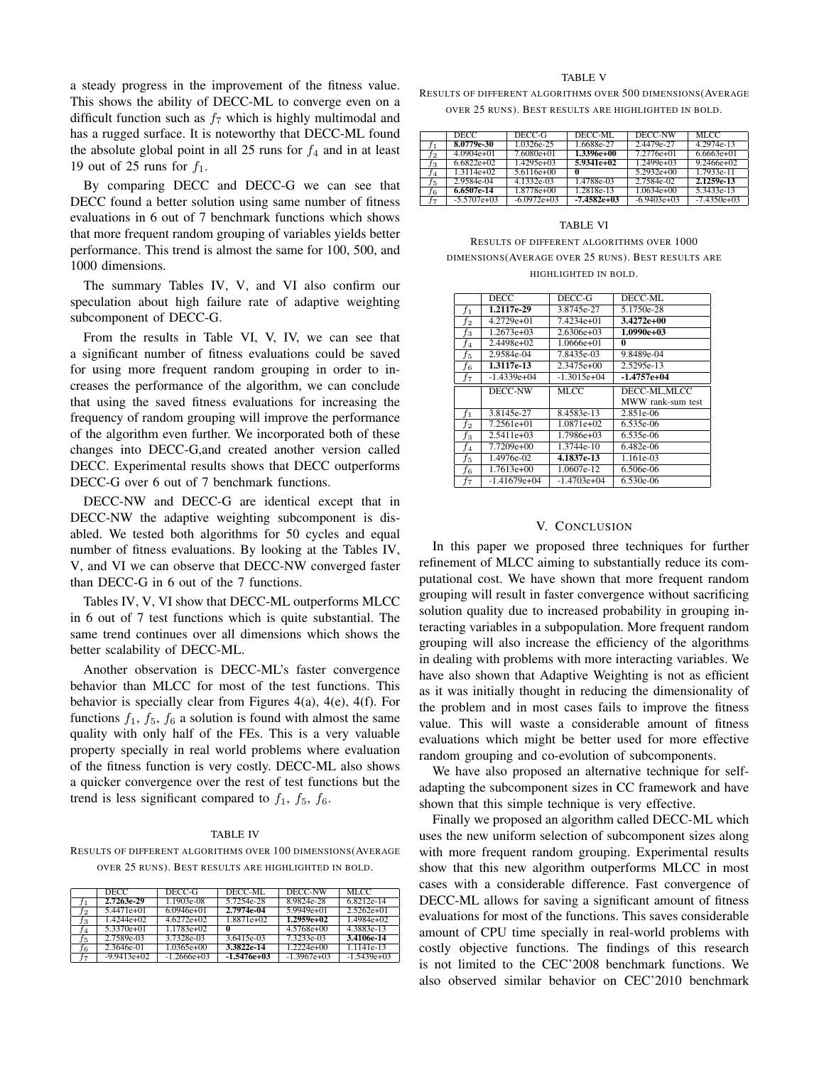a steady progress in the improvement of the fitness value. This shows the ability of DECC-ML to converge even on a difficult function such as  $f_7$  which is highly multimodal and has a rugged surface. It is noteworthy that DECC-ML found the absolute global point in all 25 runs for  $f_4$  and in at least 19 out of 25 runs for  $f_1$ .

By comparing DECC and DECC-G we can see that DECC found a better solution using same number of fitness evaluations in 6 out of 7 benchmark functions which shows that more frequent random grouping of variables yields better performance. This trend is almost the same for 100, 500, and 1000 dimensions.

The summary Tables IV, V, and VI also confirm our speculation about high failure rate of adaptive weighting subcomponent of DECC-G.

From the results in Table VI, V, IV, we can see that a significant number of fitness evaluations could be saved for using more frequent random grouping in order to increases the performance of the algorithm, we can conclude that using the saved fitness evaluations for increasing the frequency of random grouping will improve the performance of the algorithm even further. We incorporated both of these changes into DECC-G,and created another version called DECC. Experimental results shows that DECC outperforms DECC-G over 6 out of 7 benchmark functions.

DECC-NW and DECC-G are identical except that in DECC-NW the adaptive weighting subcomponent is disabled. We tested both algorithms for 50 cycles and equal number of fitness evaluations. By looking at the Tables IV, V, and VI we can observe that DECC-NW converged faster than DECC-G in 6 out of the 7 functions.

Tables IV, V, VI show that DECC-ML outperforms MLCC in 6 out of 7 test functions which is quite substantial. The same trend continues over all dimensions which shows the better scalability of DECC-ML.

Another observation is DECC-ML's faster convergence behavior than MLCC for most of the test functions. This behavior is specially clear from Figures  $4(a)$ ,  $4(e)$ ,  $4(f)$ . For functions  $f_1$ ,  $f_5$ ,  $f_6$  a solution is found with almost the same quality with only half of the FEs. This is a very valuable property specially in real world problems where evaluation of the fitness function is very costly. DECC-ML also shows a quicker convergence over the rest of test functions but the trend is less significant compared to  $f_1$ ,  $f_5$ ,  $f_6$ .

## TABLE IV

RESULTS OF DIFFERENT ALGORITHMS OVER 100 DIMENSIONS(AVERAGE OVER 25 RUNS). BEST RESULTS ARE HIGHLIGHTED IN BOLD.

|    | <b>DECC</b>   | DECC-G         | DECC-ML       | DECC-NW       | MLCC.         |
|----|---------------|----------------|---------------|---------------|---------------|
|    | 2.7263e-29    | 1.1903e-08     | 5.7254e-28    | 8.9824e-28    | 6.8212e-14    |
| f2 | $5.4471e+01$  | $6.0946e + 01$ | 2.7974e-04    | $5.9949e+01$  | $2.5262e+01$  |
| fз | $1.4244e+02$  | $4.6272e+02$   | $1.8871e+02$  | $1.2959e+02$  | $1.4984e+02$  |
| f4 | 5.3370e+01    | $1.1783e+02$   |               | $4.5768e+00$  | 4.3883e-13    |
| f5 | 2.7589e-03    | 3.7328e-03     | 3.6415e-03    | 7.3233e-03    | 3.4106e-14    |
|    | 2.3646e-01    | $1.0365e+00$   | 3.3822e-14    | $1.2224e+00$  | 1.1141e-13    |
|    | $-9.9413e+02$ | $-1.2666e+03$  | $-1.5476e+03$ | $-1.3967e+03$ | $-1.5439e+03$ |

#### TABLE V

RESULTS OF DIFFERENT ALGORITHMS OVER 500 DIMENSIONS(AVERAGE OVER 25 RUNS). BEST RESULTS ARE HIGHLIGHTED IN BOLD.

|    | <b>DECC</b>   | DECC-G         | DECC-ML       | DECC-NW       | MLCC.          |
|----|---------------|----------------|---------------|---------------|----------------|
|    | 8.0779e-30    | $1.0326e - 25$ | 1.6688e-27    | 2.4479e-27    | 4.2974e-13     |
| f2 | $4.0904e+01$  | $7.6080e+01$   | 1.3396e+00    | 7.2776e+01    | $6.6663e+01$   |
| fз | $6.6822e+02$  | $1.4295e+03$   | 5.9341e+02    | $1.2499e+03$  | $9.2466e + 02$ |
| f4 | $1.3114e+02$  | $5.6116e+00$   |               | $5.2932e+00$  | $1.7933e-11$   |
| 15 | 2.9584e-04    | $4.1332e-03$   | 1.4788e-03    | 2.7584e-02    | 2.1259e-13     |
| fв | 6.6507e-14    | $1.8778e+00$   | 1.2818e-13    | $1.0634e+00$  | 5.3433e-13     |
|    | $-5.5707e+03$ | $-6.0972e+03$  | $-7.4582e+03$ | $-6.9403e+03$ | $-7.4350e+03$  |

#### TABLE VI

RESULTS OF DIFFERENT ALGORITHMS OVER 1000 DIMENSIONS(AVERAGE OVER 25 RUNS). BEST RESULTS ARE HIGHLIGHTED IN BOLD.

|       | <b>DECC</b>    | DECC-G        | DECC-ML           |
|-------|----------------|---------------|-------------------|
| $f_1$ | 1.2117e-29     | 3.8745e-27    | 5.1750e-28        |
| $f_2$ | $4.2729e+01$   | 7.4234e+01    | $3.4272e+00$      |
| $f_3$ | $1.2673e+03$   | $2.6306e+03$  | $1.0990e + 03$    |
| $f_4$ | $2.4498e+02$   | $1.0666e+01$  | 0                 |
| $f_5$ | 2.9584e-04     | 7.8435e-03    | 9.8489e-04        |
| $f_6$ | 1.3117e-13     | $2.3475e+00$  | 2.5295e-13        |
| f7    | $-1.4339e+04$  | $-1.3015e+04$ | $-1.4757e+04$     |
|       | DECC-NW        | MLCC          | DECC-ML.MLCC      |
|       |                |               | MWW rank-sum test |
| $f_1$ | 3.8145e-27     | 8.4583e-13    | 2.851e-06         |
| $f_2$ | $7.2561e+01$   | $1.0871e+02$  | 6.535e-06         |
| $f_3$ | $2.5411e+03$   | 1.7986e+03    | 6.535e-06         |
| $f_4$ | 7.7209e+00     | 1.3744e-10    | 6.482e-06         |
| $f_5$ | 1.4976e-02     | 4.1837e-13    | 1.161e-03         |
| f6    | $1.7613e+00$   | 1.0607e-12    | 6.506e-06         |
| f7    | $-1.41679e+04$ | $-1.4703e+04$ | 6.530e-06         |

# V. CONCLUSION

In this paper we proposed three techniques for further refinement of MLCC aiming to substantially reduce its computational cost. We have shown that more frequent random grouping will result in faster convergence without sacrificing solution quality due to increased probability in grouping interacting variables in a subpopulation. More frequent random grouping will also increase the efficiency of the algorithms in dealing with problems with more interacting variables. We have also shown that Adaptive Weighting is not as efficient as it was initially thought in reducing the dimensionality of the problem and in most cases fails to improve the fitness value. This will waste a considerable amount of fitness evaluations which might be better used for more effective random grouping and co-evolution of subcomponents.

We have also proposed an alternative technique for selfadapting the subcomponent sizes in CC framework and have shown that this simple technique is very effective.

Finally we proposed an algorithm called DECC-ML which uses the new uniform selection of subcomponent sizes along with more frequent random grouping. Experimental results show that this new algorithm outperforms MLCC in most cases with a considerable difference. Fast convergence of DECC-ML allows for saving a significant amount of fitness evaluations for most of the functions. This saves considerable amount of CPU time specially in real-world problems with costly objective functions. The findings of this research is not limited to the CEC'2008 benchmark functions. We also observed similar behavior on CEC'2010 benchmark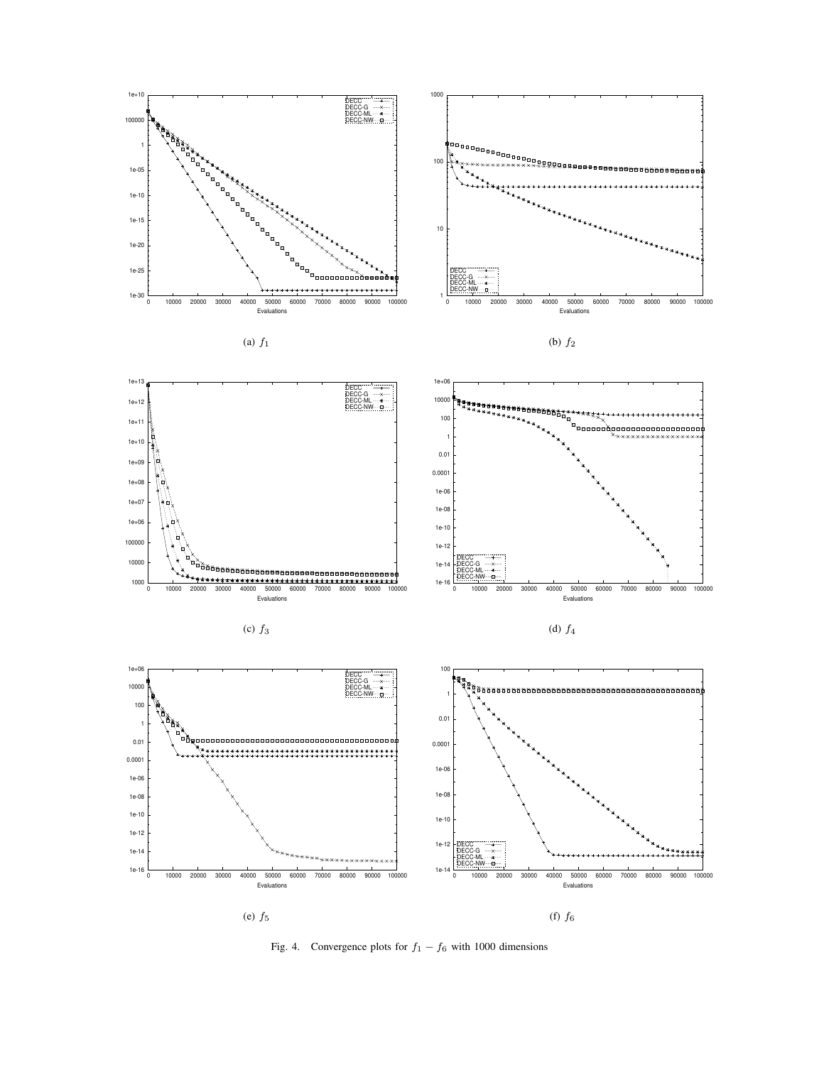















Fig. 4. Convergence plots for  $f_1 - f_6$  with 1000 dimensions